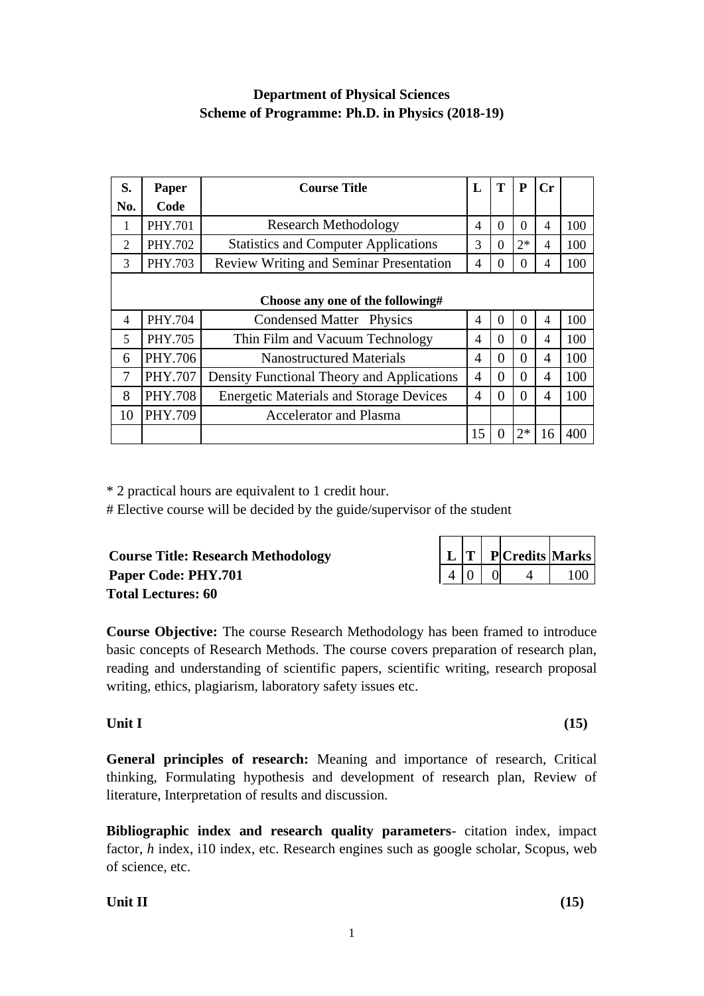# **Department of Physical Sciences Scheme of Programme: Ph.D. in Physics (2018-19)**

| S.             | Paper          | <b>Course Title</b>                            | L              | T            | P        | Cr             |     |
|----------------|----------------|------------------------------------------------|----------------|--------------|----------|----------------|-----|
| No.            | Code           |                                                |                |              |          |                |     |
|                | PHY.701        | <b>Research Methodology</b>                    | 4              | $\Omega$     | $\Omega$ | $\overline{4}$ | 100 |
| $\overline{2}$ | PHY.702        | <b>Statistics and Computer Applications</b>    | 3              | 0            | $2*$     | 4              | 100 |
| 3              | PHY.703        | Review Writing and Seminar Presentation        | 4              | 0            | $\Omega$ | 4              | 100 |
|                |                |                                                |                |              |          |                |     |
|                |                | Choose any one of the following#               |                |              |          |                |     |
| 4              | <b>PHY.704</b> | Condensed Matter Physics                       | 4              | $\theta$     | $\Omega$ | 4              | 100 |
| 5              | <b>PHY.705</b> | Thin Film and Vacuum Technology                | $\overline{4}$ | $\Omega$     | $\Omega$ | 4              | 100 |
| 6              | PHY.706        | <b>Nanostructured Materials</b>                | 4              | 0            | $\theta$ | 4              | 100 |
| $\overline{7}$ | PHY.707        | Density Functional Theory and Applications     | 4              | 0            | $\theta$ | 4              | 100 |
| 8              | <b>PHY.708</b> | <b>Energetic Materials and Storage Devices</b> | 4              | 0            | $\Omega$ | 4              | 100 |
| 10             | PHY.709        | <b>Accelerator and Plasma</b>                  |                |              |          |                |     |
|                |                |                                                | 15             | $\mathbf{0}$ | $2*$     | 16             | 400 |

\* 2 practical hours are equivalent to 1 credit hour.

# Elective course will be decided by the guide/supervisor of the student

| <b>Course Title: Research Methodology</b> |  |                | $ \mathbf{L} \mathbf{T} $ P Credits Marks |     |
|-------------------------------------------|--|----------------|-------------------------------------------|-----|
| Paper Code: PHY.701                       |  | $\overline{0}$ |                                           | 100 |
| <b>Total Lectures: 60</b>                 |  |                |                                           |     |

**Course Objective:** The course Research Methodology has been framed to introduce basic concepts of Research Methods. The course covers preparation of research plan, reading and understanding of scientific papers, scientific writing, research proposal writing, ethics, plagiarism, laboratory safety issues etc.

# **Unit I (15)**

**General principles of research:** Meaning and importance of research, Critical thinking, Formulating hypothesis and development of research plan, Review of literature, Interpretation of results and discussion.

**Bibliographic index and research quality parameters**- citation index, impact factor, *h* index, i10 index, etc. Research engines such as google scholar, Scopus, web of science, etc.

 $\overline{\phantom{0}}$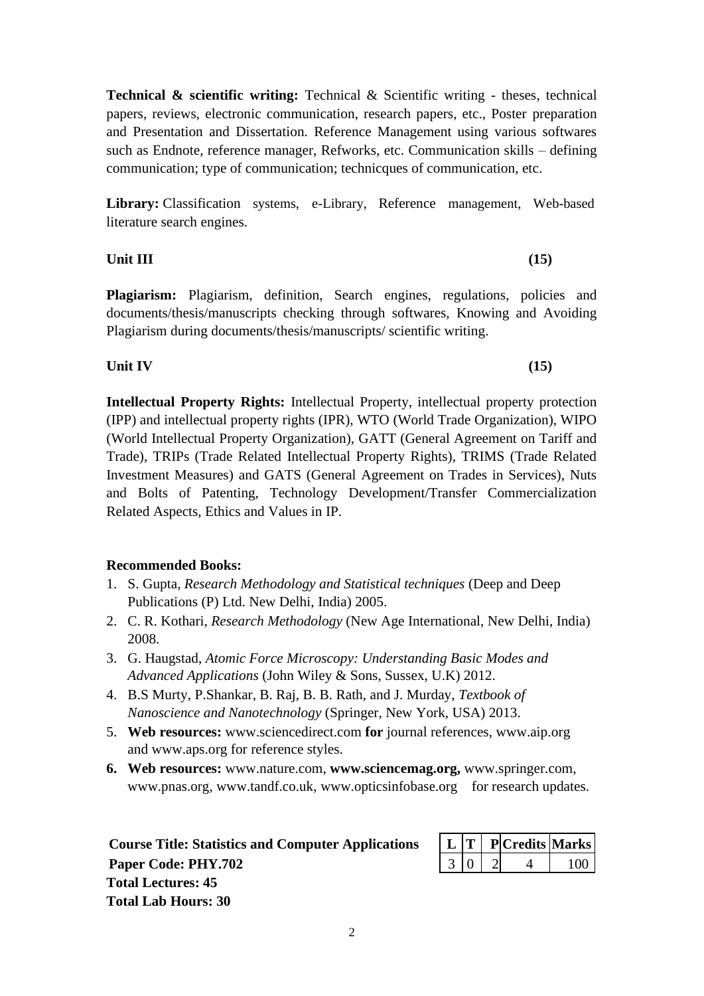**Technical & scientific writing:** Technical & Scientific writing - theses, technical papers, reviews, electronic communication, research papers, etc., Poster preparation and Presentation and Dissertation. Reference Management using various softwares such as Endnote, reference manager, Refworks, etc. Communication skills – defining communication; type of communication; technicques of communication, etc.

Library: Classification systems, e-Library, Reference management, Web-based literature search engines.

**Unit III (15)**

**Plagiarism:** Plagiarism, definition, Search engines, regulations, policies and documents/thesis/manuscripts checking through softwares, Knowing and Avoiding Plagiarism during documents/thesis/manuscripts/ scientific writing.

# **Unit IV (15)**

**Intellectual Property Rights:** Intellectual Property, intellectual property protection (IPP) and intellectual property rights (IPR), WTO (World Trade Organization), WIPO (World Intellectual Property Organization), GATT (General Agreement on Tariff and Trade), TRIPs (Trade Related Intellectual Property Rights), TRIMS (Trade Related Investment Measures) and GATS (General Agreement on Trades in Services), Nuts and Bolts of Patenting, Technology Development/Transfer Commercialization Related Aspects, Ethics and Values in IP.

# **Recommended Books:**

- 1. S. Gupta, *Research Methodology and Statistical techniques* (Deep and Deep Publications (P) Ltd. New Delhi, India) 2005.
- 2. C. R. Kothari, *Research Methodology* (New Age International, New Delhi, India) 2008.
- 3. G. Haugstad, *Atomic Force Microscopy: Understanding Basic Modes and Advanced Applications* (John Wiley & Sons, Sussex, U.K) 2012.
- 4. B.S Murty, P.Shankar, B. Raj, B. B. Rath, and J. Murday, *Textbook of Nanoscience and Nanotechnology* (Springer, New York, USA) 2013.
- 5. **Web resources:** [www.sciencedirect.com](http://www.sciencedirect.com/) **for** journal references, [www.aip.org](http://www.aip.org/)  and [www.aps.org f](http://www.aps.org/)or reference styles.
- **6. Web resources:** [www.nature.com,](http://www.nature.com/) **[www.sciencemag.org,](http://www.sciencemag.org/)** [www.springer.com,](http://www.springer.com/) [www.pnas.org,](http://www.pnas.org/) [www.tandf.co.uk,](http://www.tandf.co.uk/) [www.opticsinfobase.org](http://www.opticsinfobase.org/) for research updates.

| <b>Course Title: Statistics and Computer Applications</b> |                   |  | $\mid L \mid T \mid P$ Credits Marks |     |
|-----------------------------------------------------------|-------------------|--|--------------------------------------|-----|
| Paper Code: PHY.702                                       | $3 \mid 0 \mid 2$ |  | 4 <sub>1</sub>                       | 100 |
| <b>Total Lectures: 45</b>                                 |                   |  |                                      |     |
| <b>Total Lab Hours: 30</b>                                |                   |  |                                      |     |

|  | <b>PCredits Marks</b> |  |
|--|-----------------------|--|
|  |                       |  |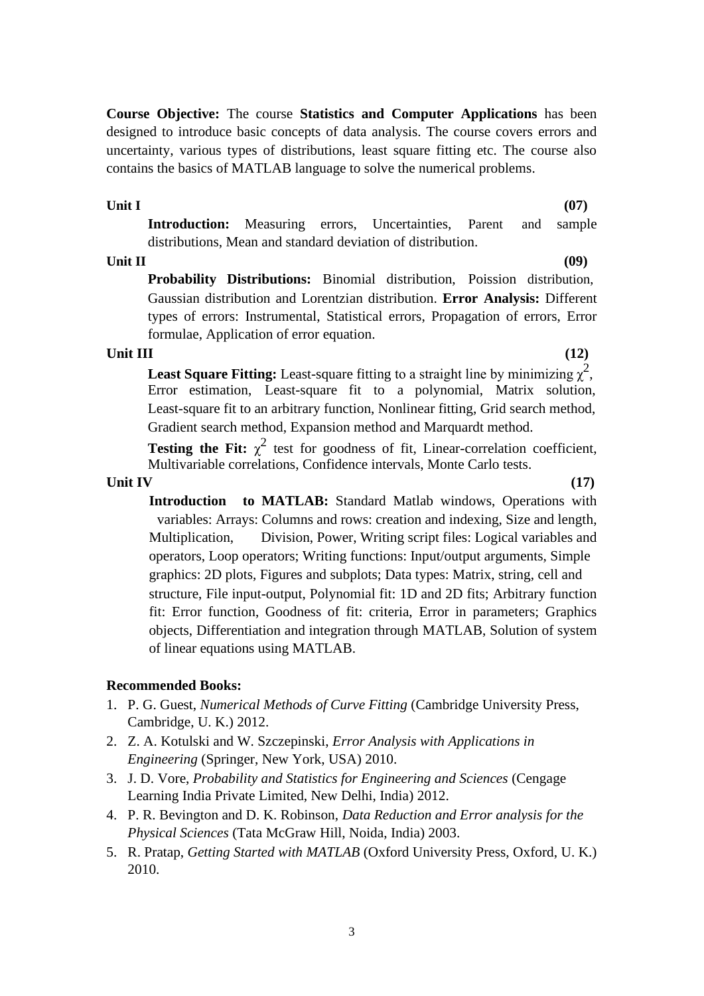**Course Objective:** The course **Statistics and Computer Applications** has been designed to introduce basic concepts of data analysis. The course covers errors and uncertainty, various types of distributions, least square fitting etc. The course also contains the basics of MATLAB language to solve the numerical problems.

## **Unit I**

**(07)**

**Introduction:** Measuring errors, Uncertainties, Parent and sample distributions, Mean and standard deviation of distribution.

## **Unit II (09)**

**Probability Distributions:** Binomial distribution, Poission distribution, Gaussian distribution and Lorentzian distribution. **Error Analysis:** Different types of errors: Instrumental, Statistical errors, Propagation of errors, Error formulae, Application of error equation.

# **Unit III (12)**

**Least Square Fitting:** Least-square fitting to a straight line by minimizing  $\chi^2$ , Error estimation, Least-square fit to a polynomial, Matrix solution, Least-square fit to an arbitrary function, Nonlinear fitting, Grid search method, Gradient search method, Expansion method and Marquardt method.

**Testing the Fit:**  $\chi^2$  test for goodness of fit, Linear-correlation coefficient, Multivariable correlations, Confidence intervals, Monte Carlo tests.

# **Unit IV (17)**

**Introduction to MATLAB:** Standard Matlab windows, Operations with variables: Arrays: Columns and rows: creation and indexing, Size and length, Multiplication, Division, Power, Writing script files: Logical variables and operators, Loop operators; Writing functions: Input/output arguments, Simple graphics: 2D plots, Figures and subplots; Data types: Matrix, string, cell and structure, File input-output, Polynomial fit: 1D and 2D fits; Arbitrary function fit: Error function, Goodness of fit: criteria, Error in parameters; Graphics objects, Differentiation and integration through MATLAB, Solution of system of linear equations using MATLAB.

# **Recommended Books:**

- 1. P. G. Guest, *Numerical Methods of Curve Fitting* (Cambridge University Press, Cambridge, U. K.) 2012.
- 2. Z. A. Kotulski and W. Szczepinski, *Error Analysis with Applications in Engineering* (Springer, New York, USA) 2010.
- 3. J. D. Vore, *Probability and Statistics for Engineering and Sciences* (Cengage Learning India Private Limited, New Delhi, India) 2012.
- 4. P. R. Bevington and D. K. Robinson, *Data Reduction and Error analysis for the Physical Sciences* (Tata McGraw Hill, Noida, India) 2003.
- 5. R. Pratap, *Getting Started with MATLAB* (Oxford University Press, Oxford, U. K.) 2010.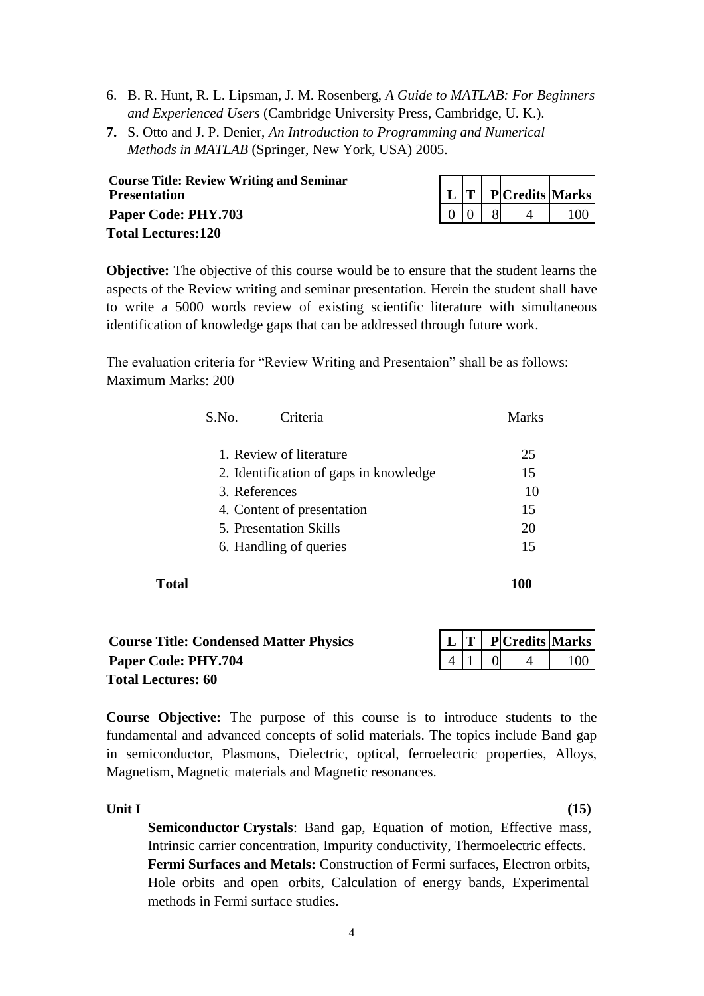- 6. B. R. Hunt, R. L. Lipsman, J. M. Rosenberg, *A Guide to MATLAB: For Beginners and Experienced Users* (Cambridge University Press, Cambridge, U. K.).
- **7.** S. Otto and J. P. Denier, *An Introduction to Programming and Numerical Methods in MATLAB* (Springer, New York, USA) 2005.

| <b>Course Title: Review Writing and Seminar</b><br><b>Presentation</b> |  | $\left  \begin{array}{c} L \end{array} \right $ $\Gamma$ P Credits Marks |     |
|------------------------------------------------------------------------|--|--------------------------------------------------------------------------|-----|
| <b>Paper Code: PHY.703</b>                                             |  |                                                                          | 100 |
| <b>Total Lectures:120</b>                                              |  |                                                                          |     |

**Objective:** The objective of this course would be to ensure that the student learns the aspects of the Review writing and seminar presentation. Herein the student shall have to write a 5000 words review of existing scientific literature with simultaneous identification of knowledge gaps that can be addressed through future work.

The evaluation criteria for "Review Writing and Presentaion" shall be as follows: Maximum Marks: 200

|       | S.No.                                  | Criteria                      | <b>Marks</b> |  |  |  |  |
|-------|----------------------------------------|-------------------------------|--------------|--|--|--|--|
|       |                                        | 1. Review of literature       | 25           |  |  |  |  |
|       | 2. Identification of gaps in knowledge |                               |              |  |  |  |  |
|       | 10                                     |                               |              |  |  |  |  |
|       |                                        | 4. Content of presentation    | 15           |  |  |  |  |
|       |                                        | <b>5. Presentation Skills</b> | 20           |  |  |  |  |
|       |                                        | 6. Handling of queries        | 15           |  |  |  |  |
| Total |                                        |                               | 100          |  |  |  |  |

| <b>Course Title: Condensed Matter Physics</b> |  | $\mid L \mid T \mid P$ Credits Marks          |     |
|-----------------------------------------------|--|-----------------------------------------------|-----|
| Paper Code: PHY.704                           |  | $\begin{bmatrix} 4 & 1 & 0 & 4 \end{bmatrix}$ | 100 |
| <b>Total Lectures: 60</b>                     |  |                                               |     |

**Course Objective:** The purpose of this course is to introduce students to the fundamental and advanced concepts of solid materials. The topics include Band gap in semiconductor, Plasmons, Dielectric, optical, ferroelectric properties, Alloys, Magnetism, Magnetic materials and Magnetic resonances.

**Unit I (15)**

**Semiconductor Crystals**: Band gap, Equation of motion, Effective mass, Intrinsic carrier concentration, Impurity conductivity, Thermoelectric effects. **Fermi Surfaces and Metals:** Construction of Fermi surfaces, Electron orbits, Hole orbits and open orbits, Calculation of energy bands, Experimental methods in Fermi surface studies.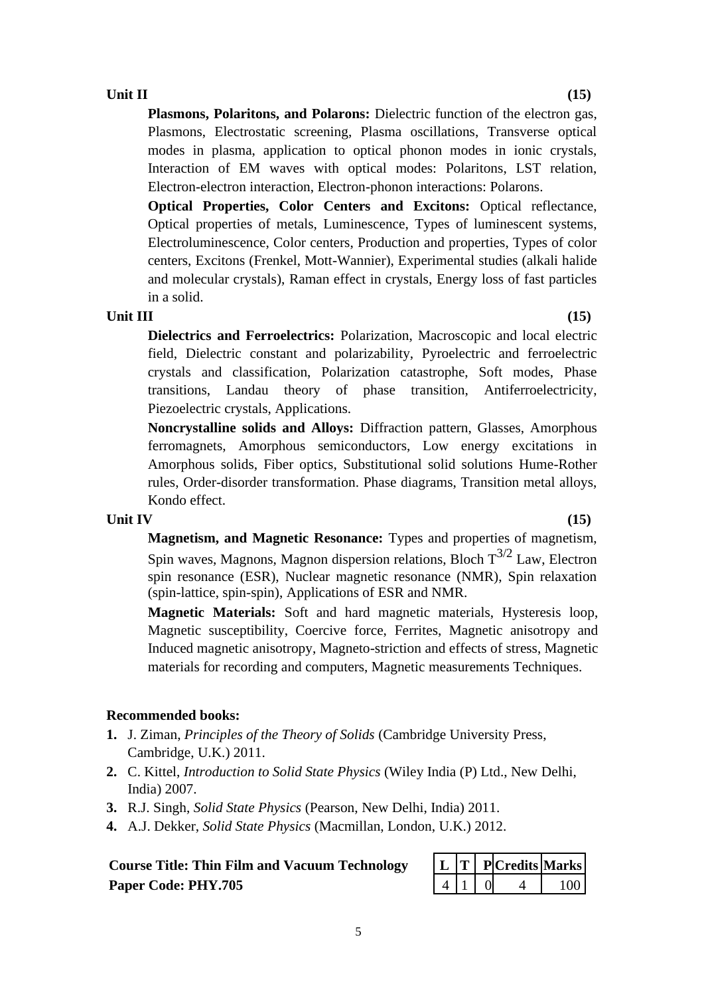## **Unit II (15)**

**Plasmons, Polaritons, and Polarons:** Dielectric function of the electron gas, Plasmons, Electrostatic screening, Plasma oscillations, Transverse optical modes in plasma, application to optical phonon modes in ionic crystals, Interaction of EM waves with optical modes: Polaritons, LST relation, Electron-electron interaction, Electron-phonon interactions: Polarons.

**Optical Properties, Color Centers and Excitons:** Optical reflectance, Optical properties of metals, Luminescence, Types of luminescent systems, Electroluminescence, Color centers, Production and properties, Types of color centers, Excitons (Frenkel, Mott-Wannier), Experimental studies (alkali halide and molecular crystals), Raman effect in crystals, Energy loss of fast particles in a solid.

#### **Unit III (15)**

**Dielectrics and Ferroelectrics:** Polarization, Macroscopic and local electric field, Dielectric constant and polarizability, Pyroelectric and ferroelectric crystals and classification, Polarization catastrophe, Soft modes, Phase transitions, Landau theory of phase transition, Antiferroelectricity, Piezoelectric crystals, Applications.

**Noncrystalline solids and Alloys:** Diffraction pattern, Glasses, Amorphous ferromagnets, Amorphous semiconductors, Low energy excitations in Amorphous solids, Fiber optics, Substitutional solid solutions Hume-Rother rules, Order-disorder transformation. Phase diagrams, Transition metal alloys, Kondo effect.

#### **Unit IV (15)**

**Magnetism, and Magnetic Resonance:** Types and properties of magnetism, Spin waves, Magnons, Magnon dispersion relations, Bloch  $T^{3/2}$  Law, Electron spin resonance (ESR), Nuclear magnetic resonance (NMR), Spin relaxation (spin-lattice, spin-spin), Applications of ESR and NMR.

**Magnetic Materials:** Soft and hard magnetic materials, Hysteresis loop, Magnetic susceptibility, Coercive force, Ferrites, Magnetic anisotropy and Induced magnetic anisotropy, Magneto-striction and effects of stress, Magnetic materials for recording and computers, Magnetic measurements Techniques.

#### **Recommended books:**

- **1.** J. Ziman, *Principles of the Theory of Solids* (Cambridge University Press, Cambridge, U.K.) 2011.
- **2.** C. Kittel, *Introduction to Solid State Physics* (Wiley India (P) Ltd., New Delhi, India) 2007.
- **3.** R.J. Singh, *Solid State Physics* (Pearson, New Delhi, India) 2011.
- **4.** A.J. Dekker, *Solid State Physics* (Macmillan, London, U.K.) 2012.

# **Course Title: Thin Film and Vacuum Technology Paper Code: PHY.705**

|  | PlCredits  Marks |      |
|--|------------------|------|
|  |                  | ٬ ՈՐ |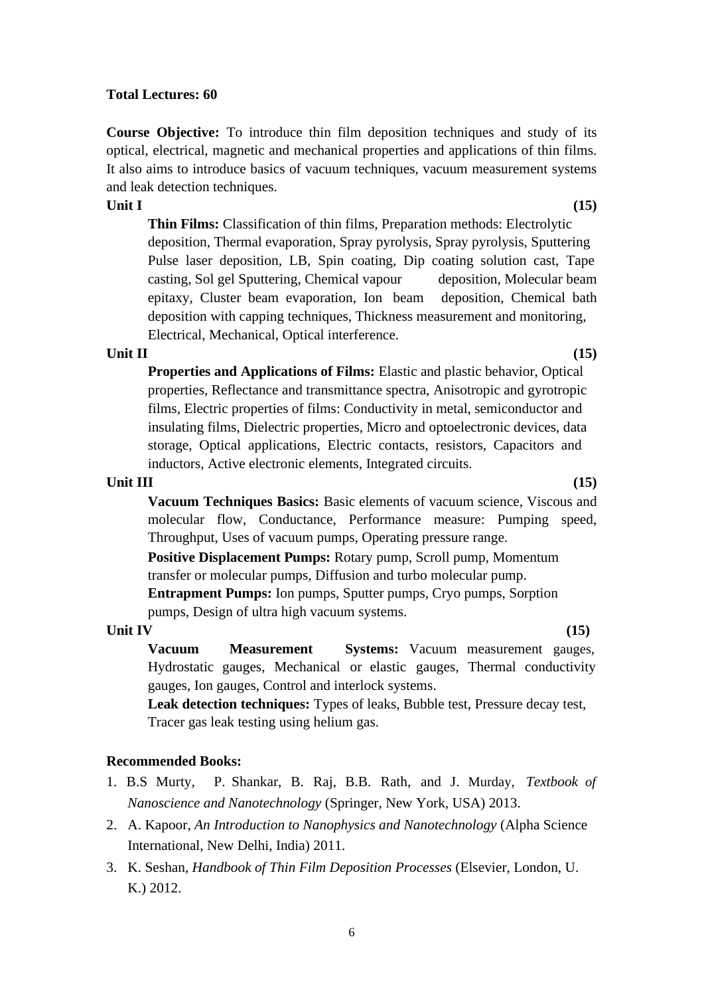#### **Total Lectures: 60**

**Course Objective:** To introduce thin film deposition techniques and study of its optical, electrical, magnetic and mechanical properties and applications of thin films. It also aims to introduce basics of vacuum techniques, vacuum measurement systems and leak detection techniques.

### **Unit I (15)**

**Thin Films:** Classification of thin films, Preparation methods: Electrolytic deposition, Thermal evaporation, Spray pyrolysis, Spray pyrolysis, Sputtering Pulse laser deposition, LB, Spin coating, Dip coating solution cast, Tape casting, Sol gel Sputtering, Chemical vapour deposition, Molecular beam epitaxy, Cluster beam evaporation, Ion beam deposition, Chemical bath deposition with capping techniques, Thickness measurement and monitoring, Electrical, Mechanical, Optical interference.

#### **Unit II (15)**

**Properties and Applications of Films:** Elastic and plastic behavior, Optical properties, Reflectance and transmittance spectra, Anisotropic and gyrotropic films, Electric properties of films: Conductivity in metal, semiconductor and insulating films, Dielectric properties, Micro and optoelectronic devices, data storage, Optical applications, Electric contacts, resistors, Capacitors and inductors, Active electronic elements, Integrated circuits.

### **Unit III (15)**

**Vacuum Techniques Basics:** Basic elements of vacuum science, Viscous and molecular flow, Conductance, Performance measure: Pumping speed, Throughput, Uses of vacuum pumps, Operating pressure range.

**Positive Displacement Pumps:** Rotary pump, Scroll pump, Momentum transfer or molecular pumps, Diffusion and turbo molecular pump.

**Entrapment Pumps:** Ion pumps, Sputter pumps, Cryo pumps, Sorption pumps, Design of ultra high vacuum systems.

#### **Unit IV (15)**

**Vacuum Measurement Systems:** Vacuum measurement gauges, Hydrostatic gauges, Mechanical or elastic gauges, Thermal conductivity gauges, Ion gauges, Control and interlock systems.

**Leak detection techniques:** Types of leaks, Bubble test, Pressure decay test, Tracer gas leak testing using helium gas.

#### **Recommended Books:**

- 1. B.S Murty, P. Shankar, B. Raj, B.B. Rath, and J. Murday, *Textbook of Nanoscience and Nanotechnology* (Springer, New York, USA) 2013.
- 2. A. Kapoor, *An Introduction to Nanophysics and Nanotechnology* (Alpha Science International, New Delhi, India) 2011.
- 3. K. Seshan, *Handbook of Thin Film Deposition Processes* (Elsevier, London, U. K.) 2012.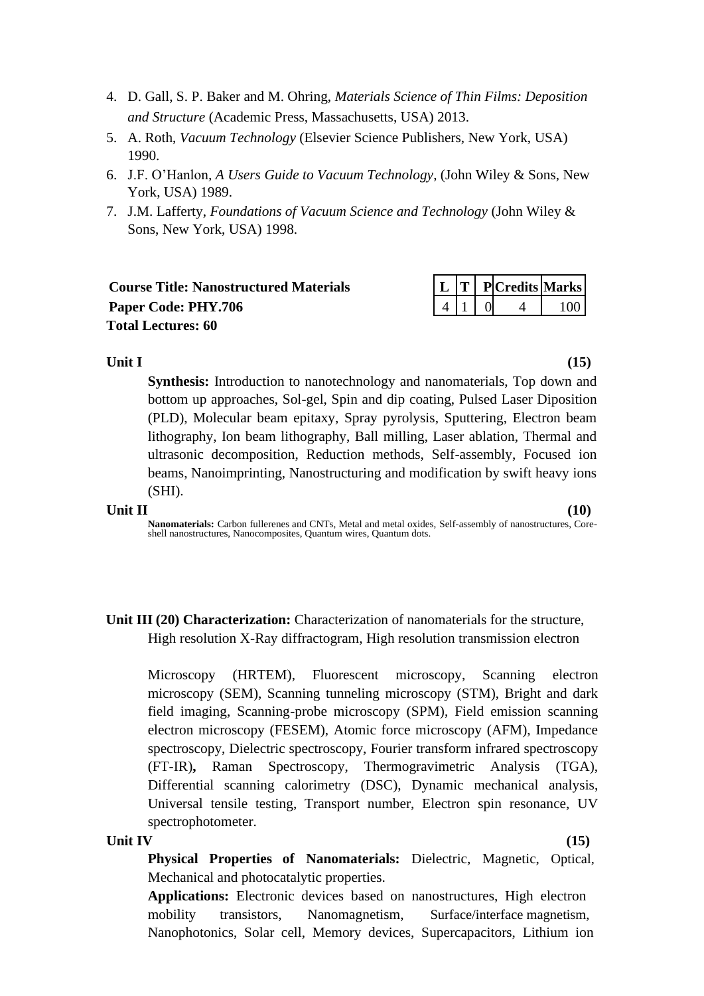- 4. D. Gall, S. P. Baker and M. Ohring, *Materials Science of Thin Films: Deposition and Structure* (Academic Press, Massachusetts, USA) 2013.
- 5. A. Roth, *Vacuum Technology* (Elsevier Science Publishers, New York, USA) 1990.
- 6. J.F. O'Hanlon*, A Users Guide to Vacuum Technology*, (John Wiley & Sons, New York, USA) 1989.
- 7. J.M. Lafferty, *Foundations of Vacuum Science and Technology* (John Wiley & Sons, New York, USA) 1998.

| <b>Course Title: Nanostructured Materials</b> |                                 |  | $\lfloor L \rfloor$ T   P Credits Marks |     |
|-----------------------------------------------|---------------------------------|--|-----------------------------------------|-----|
| Paper Code: PHY.706                           | $\vert 4 \vert 1 \vert 0 \vert$ |  |                                         | 100 |
| <b>Total Lectures: 60</b>                     |                                 |  |                                         |     |

### **Unit I (15)**

**Synthesis:** Introduction to nanotechnology and nanomaterials, Top down and bottom up approaches, Sol-gel, Spin and dip coating, Pulsed Laser Diposition (PLD), Molecular beam epitaxy, Spray pyrolysis, Sputtering, Electron beam lithography, Ion beam lithography, Ball milling, Laser ablation, Thermal and ultrasonic decomposition, Reduction methods, Self-assembly, Focused ion beams, Nanoimprinting, Nanostructuring and modification by swift heavy ions (SHI).

### **Unit II (10)**

**Nanomaterials:** Carbon fullerenes and CNTs, Metal and metal oxides, Self-assembly of nanostructures, Coreshell nanostructures, Nanocomposites, Quantum wires, Quantum dots.

**Unit III (20) Characterization:** Characterization of nanomaterials for the structure, High resolution X-Ray diffractogram, High resolution transmission electron

Microscopy (HRTEM), Fluorescent microscopy, Scanning electron microscopy (SEM), Scanning tunneling microscopy (STM), Bright and dark field imaging, Scanning-probe microscopy (SPM), Field emission scanning electron microscopy (FESEM), Atomic force microscopy (AFM), Impedance spectroscopy, Dielectric spectroscopy, Fourier transform infrared spectroscopy (FT-IR)**,** Raman Spectroscopy, Thermogravimetric Analysis (TGA), Differential scanning calorimetry (DSC), Dynamic mechanical analysis, Universal tensile testing, Transport number, Electron spin resonance, UV spectrophotometer.

### **Unit IV (15)**

**Physical Properties of Nanomaterials:** Dielectric, Magnetic, Optical, Mechanical and photocatalytic properties.

**Applications:** Electronic devices based on nanostructures, High electron mobility transistors, Nanomagnetism, Surface/interface magnetism, Nanophotonics, Solar cell, Memory devices, Supercapacitors, Lithium ion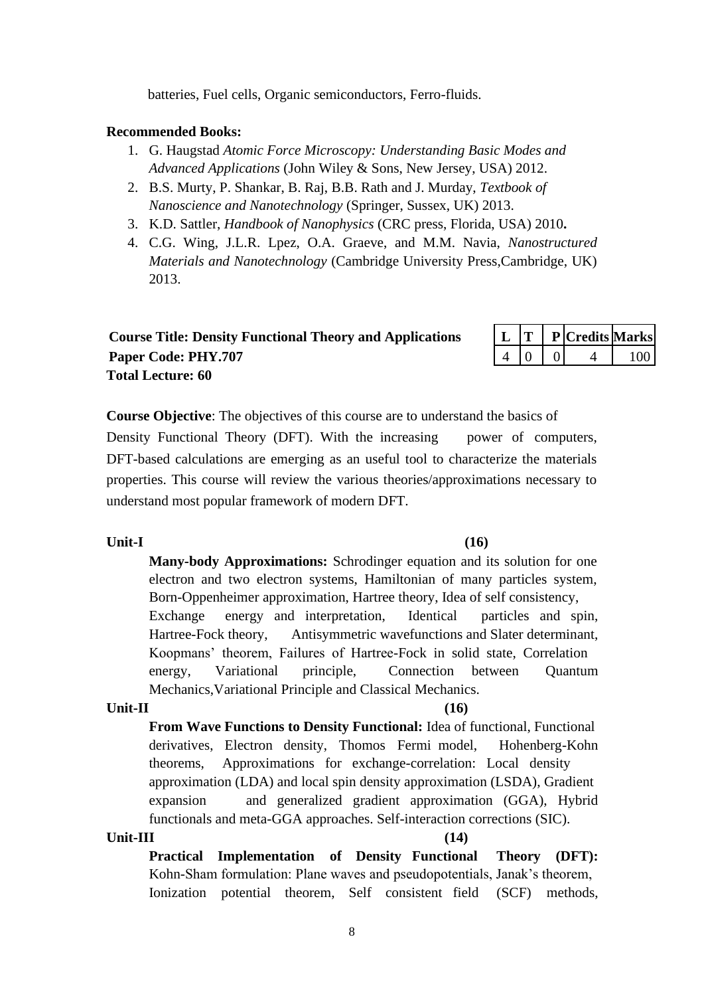batteries, Fuel cells, Organic semiconductors, Ferro-fluids.

### **Recommended Books:**

- 1. G. Haugstad *Atomic Force Microscopy: Understanding Basic Modes and Advanced Applications* (John Wiley & Sons, New Jersey, USA) 2012.
- 2. B.S. Murty, P. Shankar, B. Raj, B.B. Rath and J. Murday, *Textbook of Nanoscience and Nanotechnology* (Springer, Sussex, UK) 2013.
- 3. [K.D. Sattler,](http://www.taylorandfrancis.com/books/search/author/klaus_d_sattler/) *[Handbook of Nanophysics](http://www.taylorandfrancis.com/books/details/9781420075465/)* (CRC press, Florida, USA) 2010**.**
- 4. C.G. Wing, J.L.R. Lpez, O.A. Graeve, and M.M. Navia, *Nanostructured Materials and Nanotechnology* (Cambridge University Press,Cambridge, UK) 2013.

| <b>Course Title: Density Functional Theory and Applications</b> |           |  | $\mid$ L $\mid$ T $\mid$ P $\mid$ Credits Marks |              |
|-----------------------------------------------------------------|-----------|--|-------------------------------------------------|--------------|
| Paper Code: PHY.707                                             | $4\ 0\ 0$ |  |                                                 | $4 \mid 100$ |
| <b>Total Lecture: 60</b>                                        |           |  |                                                 |              |

|  | P Credits Marks |      |
|--|-----------------|------|
|  |                 | 1 በበ |

**Course Objective**: The objectives of this course are to understand the basics of

Density Functional Theory (DFT). With the increasing power of computers, DFT-based calculations are emerging as an useful tool to characterize the materials properties. This course will review the various theories/approximations necessary to understand most popular framework of modern DFT.

### **Unit-I (16)**

**Many-body Approximations:** Schrodinger equation and its solution for one electron and two electron systems, Hamiltonian of many particles system, Born-Oppenheimer approximation, Hartree theory, Idea of self consistency, Exchange energy and interpretation, Identical particles and spin, Hartree-Fock theory, Antisymmetric wavefunctions and Slater determinant, Koopmans' theorem, Failures of Hartree-Fock in solid state, Correlation energy, Variational principle, Connection between Quantum Mechanics,Variational Principle and Classical Mechanics.

### **Unit-II (16)**

**From Wave Functions to Density Functional:** Idea of functional, Functional derivatives, Electron density, Thomos Fermi model, Hohenberg-Kohn theorems, Approximations for exchange-correlation: Local density approximation (LDA) and local spin density approximation (LSDA), Gradient expansion and generalized gradient approximation (GGA), Hybrid functionals and meta-GGA approaches. Self-interaction corrections (SIC).

#### **Unit-III (14)**

**Practical Implementation of Density Functional Theory (DFT):** Kohn-Sham formulation: Plane waves and pseudopotentials, Janak's theorem, Ionization potential theorem, Self consistent field (SCF) methods,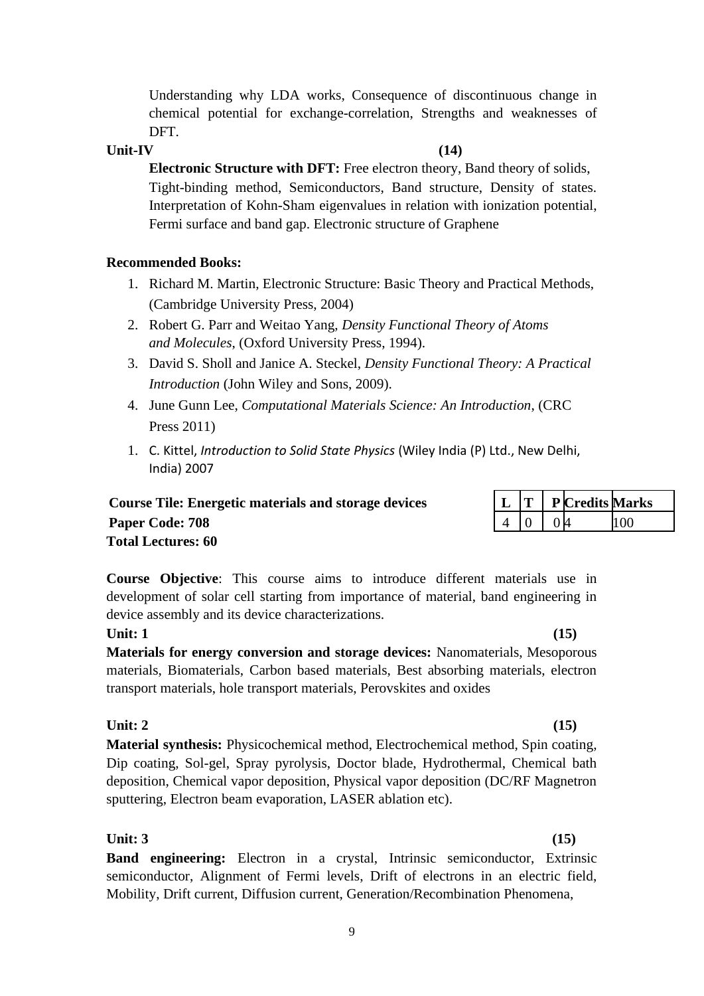Understanding why LDA works, Consequence of discontinuous change in chemical potential for exchange-correlation, Strengths and weaknesses of DFT.

## **Unit-IV (14)**

**Electronic Structure with DFT:** Free electron theory, Band theory of solids, Tight-binding method, Semiconductors, Band structure, Density of states. Interpretation of Kohn-Sham eigenvalues in relation with ionization potential, Fermi surface and band gap. Electronic structure of Graphene

# **Recommended Books:**

- 1. Richard M. Martin, Electronic Structure: Basic Theory and Practical Methods, (Cambridge University Press, 2004)
- 2. Robert G. Parr and Weitao Yang, *Density Functional Theory of Atoms and Molecules*, (Oxford University Press, 1994).
- 3. David S. Sholl and Janice A. Steckel, *Density Functional Theory: A Practical Introduction* (John Wiley and Sons, 2009).
- 4. June Gunn Lee, *Computational Materials Science: An Introduction*, (CRC Press 2011)
- 1. C. Kittel, *Introduction to Solid State Physics* (Wiley India (P) Ltd., New Delhi, India) 2007

| <b>Course Tile: Energetic materials and storage devices</b> |                                           |  | $\mid$ L $\mid$ T $\mid$ P Credits Ma |     |
|-------------------------------------------------------------|-------------------------------------------|--|---------------------------------------|-----|
| <b>Paper Code: 708</b>                                      | $\begin{bmatrix} 4 & 0 & 0 \end{bmatrix}$ |  |                                       | 100 |
| <b>Total Lectures: 60</b>                                   |                                           |  |                                       |     |

**Course Objective**: This course aims to introduce different materials use in development of solar cell starting from importance of material, band engineering in device assembly and its device characterizations.

# **Unit: 1 (15)**

**Materials for energy conversion and storage devices:** Nanomaterials, Mesoporous materials, Biomaterials, Carbon based materials, Best absorbing materials, electron transport materials, hole transport materials, Perovskites and oxides

# **Unit: 2 (15)**

**Material synthesis:** Physicochemical method, Electrochemical method, Spin coating, Dip coating, Sol-gel, Spray pyrolysis, Doctor blade, Hydrothermal, Chemical bath deposition, Chemical vapor deposition, Physical vapor deposition (DC/RF Magnetron sputtering, Electron beam evaporation, LASER ablation etc).

# **Unit: 3 (15)**

**Band engineering:** Electron in a crystal, Intrinsic semiconductor, Extrinsic semiconductor, Alignment of Fermi levels, Drift of electrons in an electric field, Mobility, Drift current, Diffusion current, Generation/Recombination Phenomena,

**Course Tile: Energetic materials and storage devices L T P Credits Marks**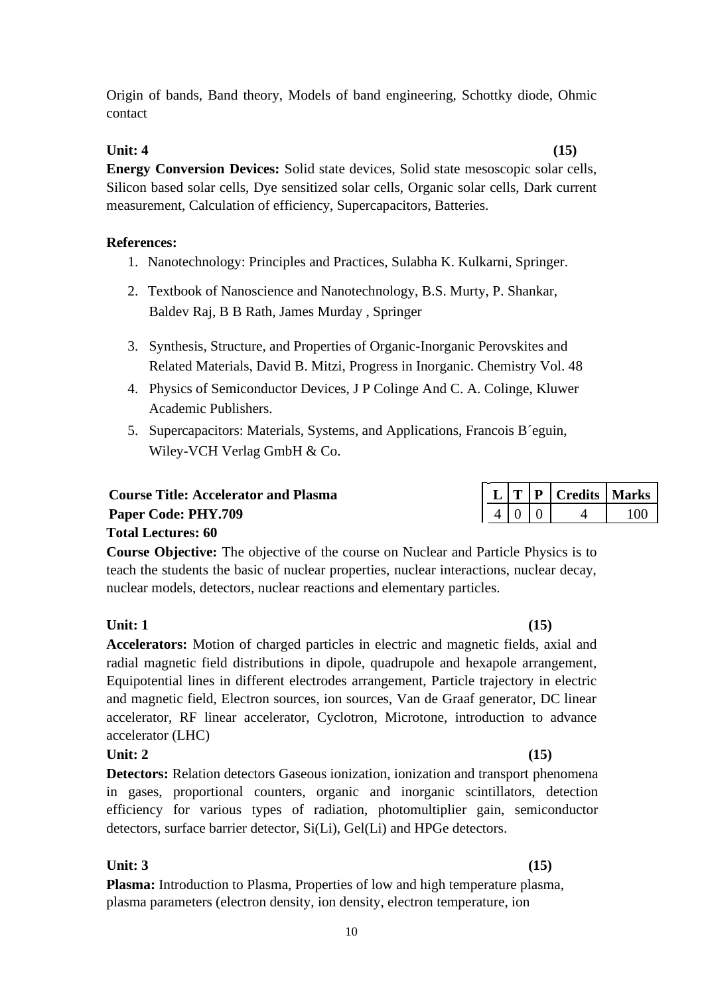10

Origin of bands, Band theory, Models of band engineering, Schottky diode, Ohmic contact

## **Unit: 4 (15)**

**Energy Conversion Devices:** Solid state devices, Solid state mesoscopic solar cells, Silicon based solar cells, Dye sensitized solar cells, Organic solar cells, Dark current measurement, Calculation of efficiency, Supercapacitors, Batteries.

## **References:**

- 1. Nanotechnology: Principles and Practices, Sulabha K. Kulkarni, Springer.
- 2. Textbook of Nanoscience and Nanotechnology, B.S. Murty, P. Shankar, Baldev Raj, B B Rath, James Murday , Springer
- 3. Synthesis, Structure, and Properties of Organic-Inorganic Perovskites and Related Materials, David B. Mitzi, Progress in Inorganic. Chemistry Vol. 48
- 4. Physics of Semiconductor Devices, J P Colinge And C. A. Colinge, Kluwer Academic Publishers.
- 5. Supercapacitors: Materials, Systems, and Applications, Francois B´eguin, Wiley-VCH Verlag GmbH & Co.

| <b>Course Title: Accelerator and Plasma</b> |  | $\mid L \mid T \mid P \mid C$ redits   Marks                          |  |
|---------------------------------------------|--|-----------------------------------------------------------------------|--|
| <b>Paper Code: PHY.709</b>                  |  | $\begin{array}{ c c c c c c } \hline 4 & 0 & 0 & 4 & 100 \end{array}$ |  |
| <b>Total Lectures: 60</b>                   |  |                                                                       |  |

**Course Objective:** The objective of the course on Nuclear and Particle Physics is to teach the students the basic of nuclear properties, nuclear interactions, nuclear decay, nuclear models, detectors, nuclear reactions and elementary particles.

# **Unit: 1 (15)**

**Accelerators:** Motion of charged particles in electric and magnetic fields, axial and radial magnetic field distributions in dipole, quadrupole and hexapole arrangement, Equipotential lines in different electrodes arrangement, Particle trajectory in electric and magnetic field, Electron sources, ion sources, Van de Graaf generator, DC linear accelerator, RF linear accelerator, Cyclotron, Microtone, introduction to advance accelerator (LHC)

# **Unit: 2 (15)**

**Detectors:** Relation detectors Gaseous ionization, ionization and transport phenomena in gases, proportional counters, organic and inorganic scintillators, detection efficiency for various types of radiation, photomultiplier gain, semiconductor detectors, surface barrier detector, Si(Li), Gel(Li) and HPGe detectors.

# **Unit: 3 (15)**

**Plasma:** Introduction to Plasma, Properties of low and high temperature plasma, plasma parameters (electron density, ion density, electron temperature, ion